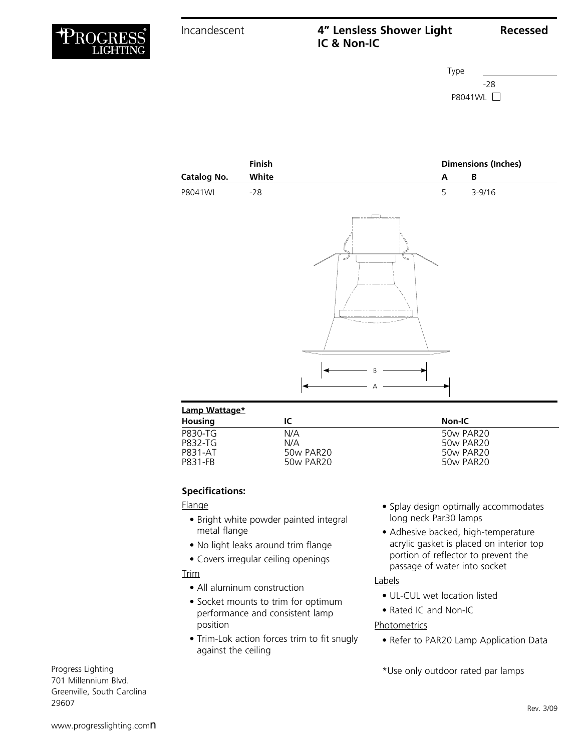# Incandescent **4" Lensless Shower Light Recessed IC & Non-IC**



|                      | Finish |        | <b>Dimensions (Inches)</b> |            |  |
|----------------------|--------|--------|----------------------------|------------|--|
| Catalog No.          | White  |        | A                          | B          |  |
| P8041WL              | $-28$  |        | 5                          | $3 - 9/16$ |  |
|                      |        | ⊐<br>B |                            |            |  |
|                      |        | Α      |                            |            |  |
| <b>Lamp Wattage*</b> |        |        |                            |            |  |

| <b>Housing</b> | IC        | Non-IC    |  |
|----------------|-----------|-----------|--|
| P830-TG        | N/A       | 50w PAR20 |  |
| P832-TG        | N/A       | 50w PAR20 |  |
| P831-AT        | 50w PAR20 | 50w PAR20 |  |
| P831-FB        | 50w PAR20 | 50w PAR20 |  |
|                |           |           |  |

## **Specifications:**

## Flange

- Bright white powder painted integral metal flange
- No light leaks around trim flange
- Covers irregular ceiling openings

## Trim

- All aluminum construction
- Socket mounts to trim for optimum performance and consistent lamp position
- Trim-Lok action forces trim to fit snugly against the ceiling
- Splay design optimally accommodates long neck Par30 lamps
- Adhesive backed, high-temperature acrylic gasket is placed on interior top portion of reflector to prevent the passage of water into socket

## Labels

- UL-CUL wet location listed
- Rated IC and Non-IC

## **Photometrics**

• Refer to PAR20 Lamp Application Data

\*Use only outdoor rated par lamps

Progress Lighting 701 Millennium Blvd. Greenville, South Carolina 29607